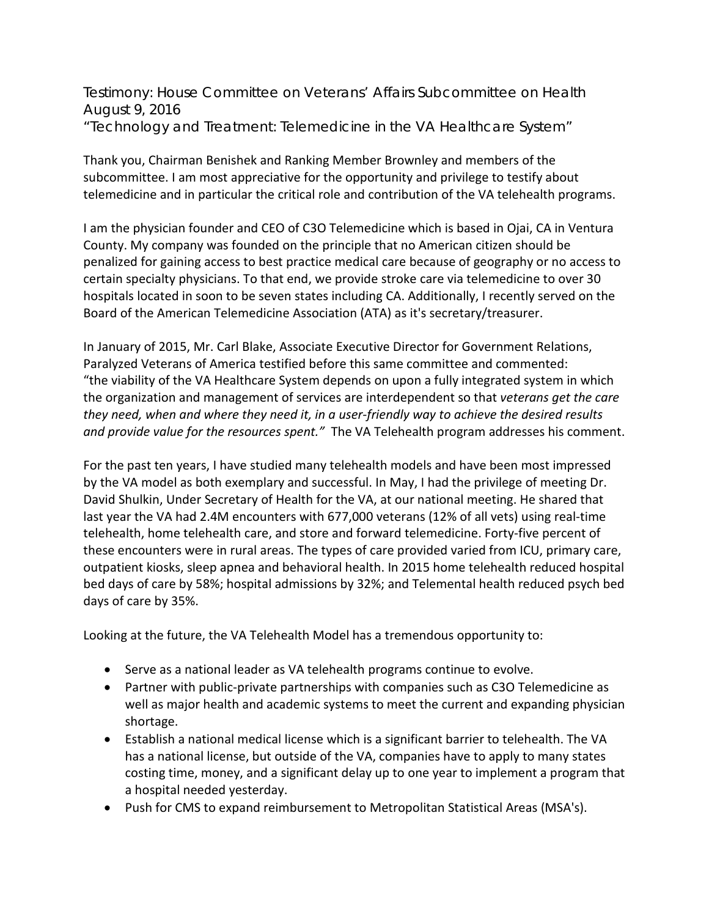Testimony: House Committee on Veterans' Affairs Subcommittee on Health August 9, 2016 "Technology and Treatment: Telemedicine in the VA Healthcare System"

Thank you, Chairman Benishek and Ranking Member Brownley and members of the subcommittee. I am most appreciative for the opportunity and privilege to testify about telemedicine and in particular the critical role and contribution of the VA telehealth programs.

I am the physician founder and CEO of C3O Telemedicine which is based in Ojai, CA in Ventura County. My company was founded on the principle that no American citizen should be penalized for gaining access to best practice medical care because of geography or no access to certain specialty physicians. To that end, we provide stroke care via telemedicine to over 30 hospitals located in soon to be seven states including CA. Additionally, I recently served on the Board of the American Telemedicine Association (ATA) as it's secretary/treasurer.

In January of 2015, Mr. Carl Blake, Associate Executive Director for Government Relations, Paralyzed Veterans of America testified before this same committee and commented: "the viability of the VA Healthcare System depends on upon a fully integrated system in which the organization and management of services are interdependent so that *veterans get the care they need, when and where they need it, in a user-friendly way to achieve the desired results and provide value for the resources spent."* The VA Telehealth program addresses his comment.

For the past ten years, I have studied many telehealth models and have been most impressed by the VA model as both exemplary and successful. In May, I had the privilege of meeting Dr. David Shulkin, Under Secretary of Health for the VA, at our national meeting. He shared that last year the VA had 2.4M encounters with 677,000 veterans (12% of all vets) using real-time telehealth, home telehealth care, and store and forward telemedicine. Forty-five percent of these encounters were in rural areas. The types of care provided varied from ICU, primary care, outpatient kiosks, sleep apnea and behavioral health. In 2015 home telehealth reduced hospital bed days of care by 58%; hospital admissions by 32%; and Telemental health reduced psych bed days of care by 35%.

Looking at the future, the VA Telehealth Model has a tremendous opportunity to:

- Serve as a national leader as VA telehealth programs continue to evolve.
- Partner with public-private partnerships with companies such as C3O Telemedicine as well as major health and academic systems to meet the current and expanding physician shortage.
- Establish a national medical license which is a significant barrier to telehealth. The VA has a national license, but outside of the VA, companies have to apply to many states costing time, money, and a significant delay up to one year to implement a program that a hospital needed yesterday.
- Push for CMS to expand reimbursement to Metropolitan Statistical Areas (MSA's).